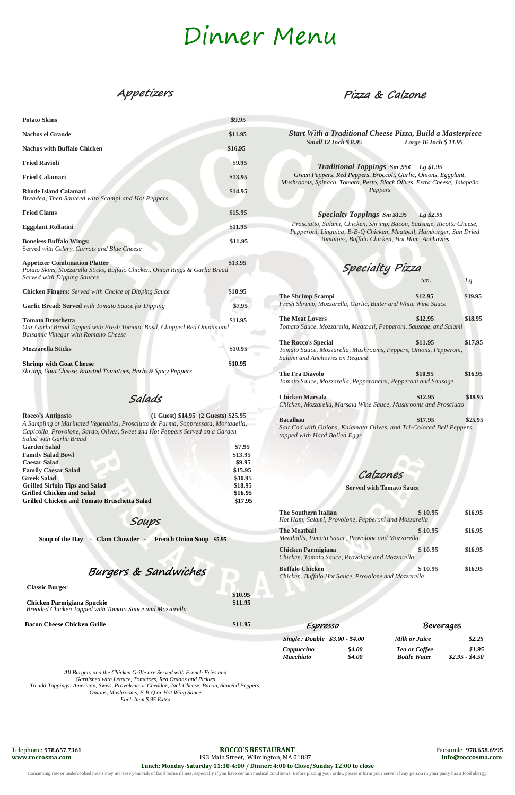Telephone: **978.657.7361 ROCCO'S RESTAURANT** Facsimile: **978.658.6995**

**www.roccosma.com** 193 Main Street, Wilmington, MA 01887 **[info@roccosma.com](mailto:info@roccosma.com)**

**Lunch: Monday-Saturday 11:30-4:00 / Dinner: 4:00 to Close/Sunday 12:00 to close**

Consuming raw or undercooked meats may increase your risk of food borne illness, especially if you have certain medical conditions. Before placing your order, please inform your server if any person in your party has a foo

## Dinner Menu

## **Appetizers**

## **Soups**

 **Soup of the Day - Clam Chowder - French Onion Soup \$5.95**

## **Burgers & Sandwiches**

#### **Classic Burger**

**\$10.95**

#### **Chicken Parmigiana Spuckie \$11.95**

*Breaded Chicken Topped with Tomato Sauce and Mozzarella*

| <b>Potato Skins</b>                                                                                                                                                                                                                                        | \$9.95            |                                                                                                                                                                                                        |                                                                                            |         |
|------------------------------------------------------------------------------------------------------------------------------------------------------------------------------------------------------------------------------------------------------------|-------------------|--------------------------------------------------------------------------------------------------------------------------------------------------------------------------------------------------------|--------------------------------------------------------------------------------------------|---------|
|                                                                                                                                                                                                                                                            |                   |                                                                                                                                                                                                        |                                                                                            |         |
| <b>Nachos el Grande</b>                                                                                                                                                                                                                                    | \$11.95           | <b>Small 12 Inch \$ 8.95</b>                                                                                                                                                                           | <b>Start With a Traditional Cheese Pizza, Build a Masterpiece</b><br>Large 16 Inch \$11.95 |         |
| <b>Nachos with Buffalo Chicken</b>                                                                                                                                                                                                                         | \$16.95           |                                                                                                                                                                                                        |                                                                                            |         |
| <b>Fried Ravioli</b>                                                                                                                                                                                                                                       | \$9.95            | <b>Traditional Toppings Sm .95¢</b> Lg \$1.95<br>Green Peppers, Red Peppers, Broccoli, Garlic, Onions, Eggplant,<br>Mushrooms, Spinach, Tomato, Pesto, Black Olives, Extra Cheese, Jalapeño<br>Peppers |                                                                                            |         |
| <b>Fried Calamari</b>                                                                                                                                                                                                                                      | \$13.95           |                                                                                                                                                                                                        |                                                                                            |         |
| <b>Rhode Island Calamari</b><br>Breaded, Then Sautéed with Scampi and Hot Peppers                                                                                                                                                                          | \$14.95           |                                                                                                                                                                                                        |                                                                                            |         |
| <b>Fried Clams</b>                                                                                                                                                                                                                                         | \$15.95           | <b>Specialty Toppings Sm \$1.95</b>                                                                                                                                                                    | Lg \$2.95                                                                                  |         |
| <b>Eggplant Rollatini</b>                                                                                                                                                                                                                                  | \$11.95           | Prosciutto, Salami, Chicken, Shrimp, Bacon, Sausage, Ricotta Cheese,<br>Pepperoni, Linguiça, B-B-Q Chicken, Meatball, Hamburger, Sun Dried<br>Tomatoes, Buffalo Chicken, Hot Ham, Anchovies            |                                                                                            |         |
| <b>Boneless Buffalo Wings:</b><br>Served with Celery, Carrots and Blue Cheese                                                                                                                                                                              | \$11.95           |                                                                                                                                                                                                        |                                                                                            |         |
| <b>Appetizer Combination Platter</b><br>Potato Skins, Mozzarella Sticks, Buffalo Chicken, Onion Rings & Garlic Bread<br><b>Served with Dipping Sauces</b>                                                                                                  | \$13.95           | Specialty Pizza                                                                                                                                                                                        |                                                                                            |         |
|                                                                                                                                                                                                                                                            |                   |                                                                                                                                                                                                        | Sm.                                                                                        | Lg.     |
| <b>Chicken Fingers:</b> Served with Choice of Dipping Sauce                                                                                                                                                                                                | \$10.95           | <b>The Shrimp Scampi</b>                                                                                                                                                                               | \$12.95                                                                                    | \$19.95 |
| <b>Garlic Bread: Served</b> with Tomato Sauce for Dipping                                                                                                                                                                                                  | \$7.95            | Fresh Shrimp, Mozzarella, Garlic, Butter and White Wine Sauce                                                                                                                                          |                                                                                            |         |
| \$11.95<br><b>Tomato Bruschetta</b><br>Our Garlic Bread Topped with Fresh Tomato, Basil, Chopped Red Onions and<br><b>Balsamic Vinegar with Romano Cheese</b>                                                                                              |                   | \$12.95<br>\$18.95<br><b>The Meat Lovers</b><br>Tomato Sauce, Mozzarella, Meatball, Pepperoni, Sausage, and Salami                                                                                     |                                                                                            |         |
|                                                                                                                                                                                                                                                            |                   | <b>The Rocco's Special</b>                                                                                                                                                                             | \$11.95                                                                                    | \$17.95 |
| <b>Mozzarella Sticks</b>                                                                                                                                                                                                                                   | \$10.95           | Tomato Sauce, Mozzarella, Mushrooms, Peppers, Onions, Pepperoni,                                                                                                                                       |                                                                                            |         |
| <b>Shrimp with Goat Cheese</b>                                                                                                                                                                                                                             | \$10.95           | Salami and Anchovies on Request                                                                                                                                                                        |                                                                                            |         |
| Shrimp, Goat Cheese, Roasted Tomatoes, Herbs & Spicy Peppers                                                                                                                                                                                               |                   | <b>The Fra Diavolo</b>                                                                                                                                                                                 | \$10.95                                                                                    | \$16.95 |
|                                                                                                                                                                                                                                                            |                   | Tomato Sauce, Mozzarella, Pepperoncini, Pepperoni and Sausage                                                                                                                                          |                                                                                            |         |
| Salads                                                                                                                                                                                                                                                     |                   | <b>Chicken Marsala</b>                                                                                                                                                                                 | \$12.95                                                                                    | \$18.95 |
|                                                                                                                                                                                                                                                            |                   | Chicken, Mozzarella, Marsala Wine Sauce, Mushrooms and Prosciutto                                                                                                                                      |                                                                                            |         |
| (1 Guest) \$14.95 (2 Guests) \$25.95<br>Rocco's Antipasto<br>A Sampling of Marinated Vegetables, Prosciutto de Parma, Soppressata, Mortadella,<br>Capicolla, Provolone, Sardo, Olives, Sweet and Hot Peppers Served on a Garden<br>Salad with Garlic Bread |                   | <b>Bacalhau</b><br>Salt Cod with Onions, Kalamata Olives, and Tri-Colored Bell Peppers,<br>topped with Hard Boiled Eggs                                                                                | \$17.95                                                                                    | \$25.95 |
| <b>Garden Salad</b><br><b>Family Salad Bowl</b>                                                                                                                                                                                                            | \$7.95<br>\$13.95 |                                                                                                                                                                                                        |                                                                                            |         |
| <b>Caesar Salad</b>                                                                                                                                                                                                                                        | \$9.95            |                                                                                                                                                                                                        |                                                                                            |         |
| <b>Family Caesar Salad</b>                                                                                                                                                                                                                                 | \$15.95           |                                                                                                                                                                                                        |                                                                                            |         |
| <b>Greek Salad</b>                                                                                                                                                                                                                                         | \$10.95           | Calzones                                                                                                                                                                                               |                                                                                            |         |
| <b>Grilled Sirloin Tips and Salad</b>                                                                                                                                                                                                                      | \$18.95           | <b>Served with Tomato Sauce</b>                                                                                                                                                                        |                                                                                            |         |
| <b>Grilled Chicken and Salad</b>                                                                                                                                                                                                                           | \$16.95           |                                                                                                                                                                                                        |                                                                                            |         |
| <b>Grilled Chicken and Tomato Bruschetta Salad</b>                                                                                                                                                                                                         | \$17.95           |                                                                                                                                                                                                        |                                                                                            |         |

#### **Bacon Cheese Chicken Grille \$11.95**

*All Burgers and the Chicken Grille are Served with French Fries and Garnished with Lettuce, Tomatoes, Red Onions and Pickles To add Toppings: American, Swiss, Provolone or Cheddar, Jack Cheese, Bacon, Sautéed Peppers, Onions, Mushrooms, B-B-Q or Hot Wing Sauce Each Item \$.95 Extra* 

**Pizza & Calzone**

**The Southern Italian \$ 10.95 \$16.95** *Hot Ham, Salami, Provolone, Pepperoni and Mozzarella* **The Meatball \$ 10.95 \$16.95** *Meatballs, Tomato Sauce, Provolone and Mozzarella* **Chicken Parmigiana \$ 10.95 \$16.95** *Chicken, Tomato Sauce, Provolone and Mozzarella* **Buffalo Chicken \$ 10.95 \$16.95** *Chicken, Buffalo Hot Sauce, Provolone and Mozzarella*

| Espresso                        |        | Beverages            |                 |  |
|---------------------------------|--------|----------------------|-----------------|--|
| Single / Double \$3.00 - \$4.00 |        | Milk or Juice        | \$2.25          |  |
| Cappuccino                      | \$4.00 | <b>Tea or Coffee</b> | \$1.95          |  |
| <b>Macchiato</b>                | \$4.00 | <b>Bottle Water</b>  | $$2.95 - $4.50$ |  |